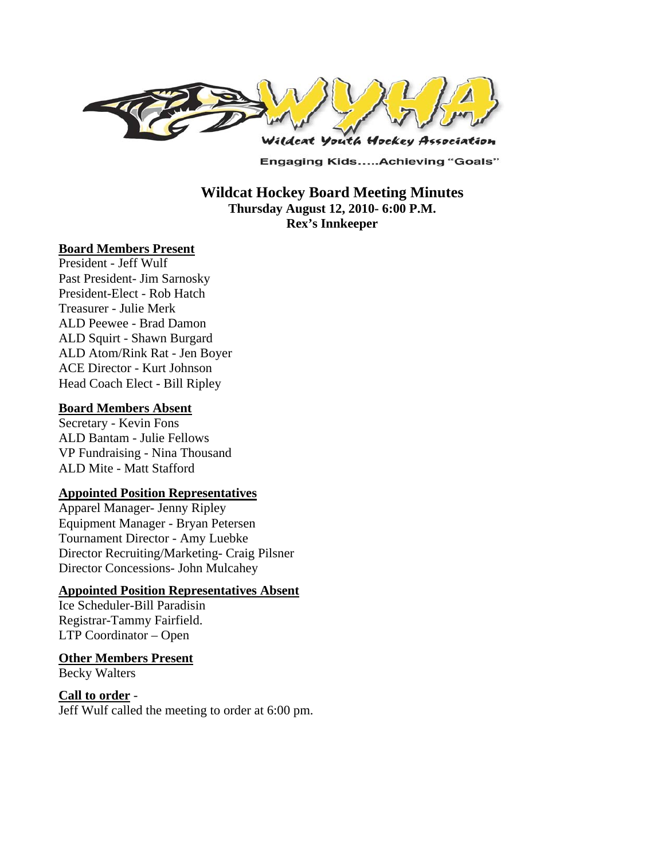

**Engaging Kids.....Achieving "Goals"** 

**Wildcat Hockey Board Meeting Minutes Thursday August 12, 2010- 6:00 P.M. Rex's Innkeeper** 

#### **Board Members Present**

President - Jeff Wulf Past President- Jim Sarnosky President-Elect - Rob Hatch Treasurer - Julie Merk ALD Peewee - Brad Damon ALD Squirt - Shawn Burgard ALD Atom/Rink Rat - Jen Boyer ACE Director - Kurt Johnson Head Coach Elect - Bill Ripley

#### **Board Members Absent**

Secretary - Kevin Fons ALD Bantam - Julie Fellows VP Fundraising - Nina Thousand ALD Mite - Matt Stafford

# **Appointed Position Representatives**

Apparel Manager- Jenny Ripley Equipment Manager - Bryan Petersen Tournament Director - Amy Luebke Director Recruiting/Marketing- Craig Pilsner Director Concessions- John Mulcahey

## **Appointed Position Representatives Absent**

Ice Scheduler-Bill Paradisin Registrar-Tammy Fairfield. LTP Coordinator – Open

**Other Members Present**

Becky Walters

**Call to order** - Jeff Wulf called the meeting to order at 6:00 pm.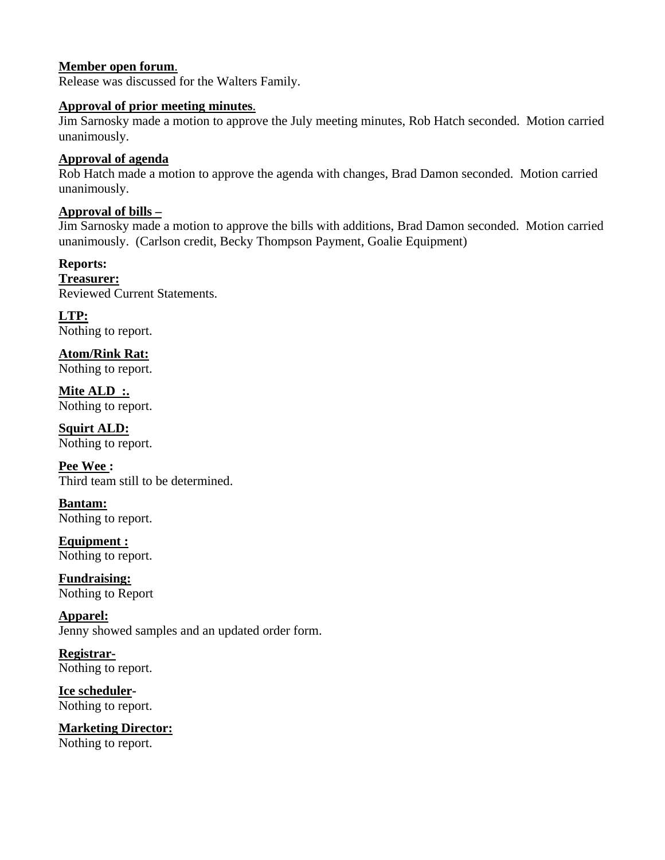## **Member open forum**.

Release was discussed for the Walters Family.

### **Approval of prior meeting minutes**.

Jim Sarnosky made a motion to approve the July meeting minutes, Rob Hatch seconded. Motion carried unanimously.

## **Approval of agenda**

Rob Hatch made a motion to approve the agenda with changes, Brad Damon seconded. Motion carried unanimously.

### **Approval of bills –**

Jim Sarnosky made a motion to approve the bills with additions, Brad Damon seconded. Motion carried unanimously. (Carlson credit, Becky Thompson Payment, Goalie Equipment)

**Reports: Treasurer:**  Reviewed Current Statements.

**LTP:**  Nothing to report.

**Atom/Rink Rat:**  Nothing to report.

**Mite ALD :.**  Nothing to report.

**Squirt ALD:**  Nothing to report.

**Pee Wee :**  Third team still to be determined.

**Bantam:**  Nothing to report.

**Equipment :**  Nothing to report.

**Fundraising:**  Nothing to Report

**Apparel:**  Jenny showed samples and an updated order form.

**Registrar-**Nothing to report.

**Ice scheduler-**Nothing to report.

**Marketing Director:** Nothing to report.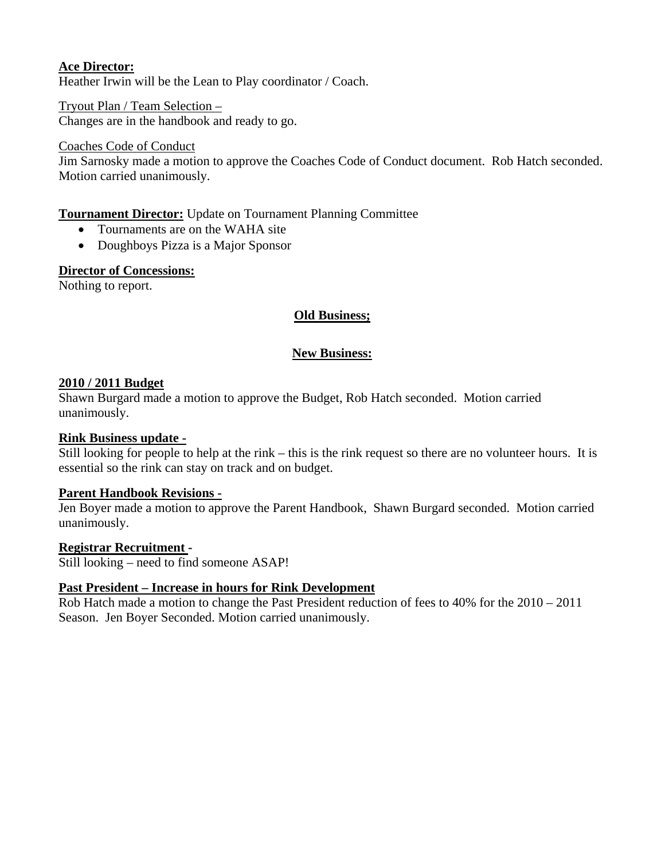# **Ace Director:**

Heather Irwin will be the Lean to Play coordinator / Coach.

Tryout Plan / Team Selection – Changes are in the handbook and ready to go.

### Coaches Code of Conduct

Jim Sarnosky made a motion to approve the Coaches Code of Conduct document. Rob Hatch seconded. Motion carried unanimously.

## **Tournament Director:** Update on Tournament Planning Committee

- Tournaments are on the WAHA site
- Doughboys Pizza is a Major Sponsor

### **Director of Concessions:**

Nothing to report.

## **Old Business;**

## **New Business:**

## **2010 / 2011 Budget**

Shawn Burgard made a motion to approve the Budget, Rob Hatch seconded. Motion carried unanimously.

## **Rink Business update -**

Still looking for people to help at the rink – this is the rink request so there are no volunteer hours. It is essential so the rink can stay on track and on budget.

## **Parent Handbook Revisions -**

Jen Boyer made a motion to approve the Parent Handbook, Shawn Burgard seconded. Motion carried unanimously.

#### **Registrar Recruitment -**

Still looking – need to find someone ASAP!

## **Past President – Increase in hours for Rink Development**

Rob Hatch made a motion to change the Past President reduction of fees to 40% for the 2010 – 2011 Season. Jen Boyer Seconded. Motion carried unanimously.